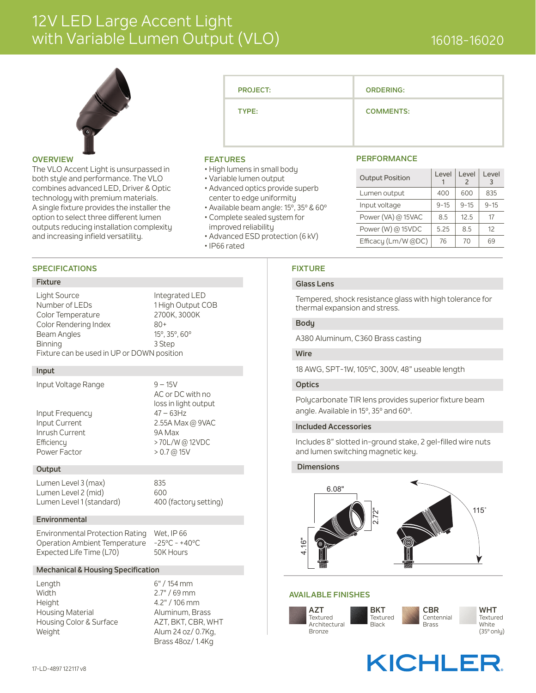## 12V LED Large Accent Light with Variable Lumen Output (VLO)



#### **OVERVIEW**

The VLO Accent Light is unsurpassed in both style and performance. The VLO combines advanced LED, Driver & Optic technology with premium materials. A single fixture provides the installer the option to select three different lumen outputs reducing installation complexity and increasing infield versatility.

#### **SPECIFICATIONS**

#### **Fixture**

Light Source Integrated LED Number of LEDs 1 High Output COB Color Temperature 2700K, 3000K Color Rendering Index 80+

Beam Angles 15°, 35°, 60° Binning 3 Step Fixture can be used in UP or DOWN position

#### **Input**

Input Voltage Range 9 – 15V

Input Frequency 47 – 63Hz Inrush Current 9A Max Efficiency > 70L/W @ 12VDC Power Factor > 0.7 @ 15V

AC or DC with no loss in light output Input Current 2.55A Max @ 9VAC

#### **Output**

Lumen Level 3 (max) 835 Lumen Level 2 (mid) 600 Lumen Level 1 (standard) 400 (factory setting)

#### **Environmental**

Environmental Protection Rating Wet, IP 66 Operation Ambient Temperature -25ºC - +40ºC Expected Life Time (L70) 50K Hours

#### **Mechanical & Housing Specification**

Length 6" / 154 mm Width 2.7" / 69 mm Height 4.2" / 106 mm Housing Material **Aluminum, Brass** Housing Color & Surface AZT, BKT, CBR, WHT Weight Meight Alum 24 oz/ 0.7Kg,

Brass 48oz/ 1.4Kg

| <b>PROJECT:</b> | <b>ORDERING:</b> |
|-----------------|------------------|
| TYPE:           | <b>COMMENTS:</b> |
|                 |                  |

#### **FEATURES**

- High lumens in small body
- Variable lumen output
- Advanced optics provide superb center to edge uniformity
- Available beam angle: 15º, 35º & 60º
- Complete sealed system for
- improved reliability
- Advanced ESD protection (6 kV)
- IP66 rated

#### **FIXTURE**

#### **Glass Lens**

Tempered, shock resistance glass with high tolerance for thermal expansion and stress.

Output Position | Level

**PERFORMANCE**

1

Lumen output  $\begin{array}{|c|c|c|c|c|} \hline \end{array}$  400  $\begin{array}{|c|c|c|c|} \hline \end{array}$  600  $\begin{array}{|c|c|c|c|} \hline \end{array}$  835  $Input voltage$  9-15 9-15 9-15 Power (VA) @ 15VAC  $\begin{array}{|c|c|c|c|c|c|c|c|c|} \hline 8.5 & 12.5 & 17 \hline \end{array}$ Power (W) @ 15VDC  $\begin{array}{|c|c|c|c|c|c|c|c|c|} \hline 5.25 & 8.5 & 12 \\ \hline \end{array}$ Efficacy (Lm/W @DC)  $\begin{array}{|c|c|c|c|c|c|c|c|c|} \hline \end{array}$  70  $\begin{array}{|c|c|c|c|c|c|c|c|} \hline \end{array}$  69

Level 2

Level 3

#### **Body**

A380 Aluminum, C360 Brass casting

#### **Wire**

18 AWG, SPT-1W, 105ºC, 300V, 48" useable length

#### **Optics**

Polycarbonate TIR lens provides superior fixture beam angle. Available in 15º, 35º and 60º.

#### **Included Accessories**

Includes 8" slotted in-ground stake, 2 gel-filled wire nuts and lumen switching magnetic key.

#### **Dimensions**



#### **AVAILABLE FINISHES**



## **KICHLER**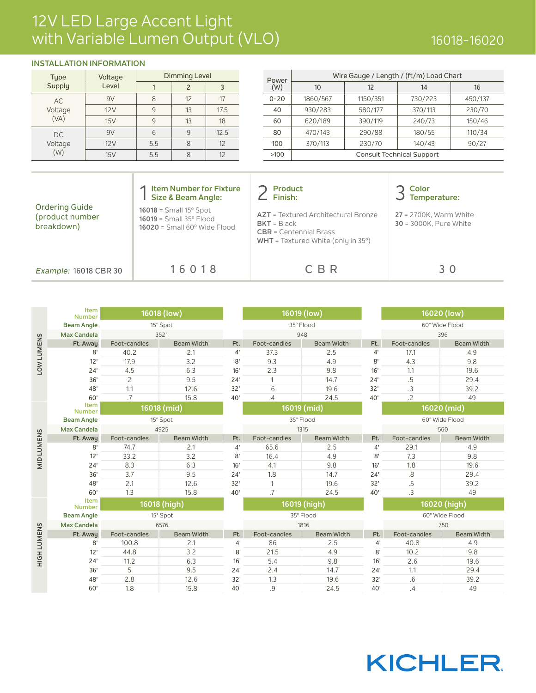### 12V LED Large Accent Light with Variable Lumen Output (VLO) 16018-16020 16018-16020

### **INSTALLATION INFORMATION**

| <b>Type</b>     | Voltage | <b>Dimming Level</b> | Power         |      |          |
|-----------------|---------|----------------------|---------------|------|----------|
| Supply          | Level   |                      | $\mathcal{P}$ | 3    | (W)      |
| <b>AC</b>       | 9V      | 8                    | 12            | 17   | $0 - 20$ |
| Voltage<br>(VA) | 12V     | $\mathsf{Q}$         | 13            | 17.5 | 40       |
|                 | 15V     | 9                    | 13            | 18   | 60       |
| DC.             | 9V      | 6                    | 9             | 12.5 | 80       |
| Voltage         | 12V     | 5.5                  | 8             | 12   | 100      |
| (W)             | 15V     | 5.5                  | 8             | 12   | >100     |

| Dimming Level |    |      |          | Wire Gauge / Length / (ft/m) Load Chart |          |         |         |
|---------------|----|------|----------|-----------------------------------------|----------|---------|---------|
|               |    |      | (W)      | 10                                      | 12       | 14      | 16      |
| 8             | 12 | 17   | $0 - 20$ | 1860/567                                | 1150/351 | 730/223 | 450/137 |
| 9             | 13 | 17.5 | 40       | 930/283                                 | 580/177  | 370/113 | 230/70  |
| Q             | 13 | 18   | 60       | 620/189                                 | 390/119  | 240/73  | 150/46  |
| 6             | 9  | 12.5 | 80       | 470/143                                 | 290/88   | 180/55  | 110/34  |
| 5.5           | 8  | 12   | 100      | 370/113                                 | 230/70   | 140/43  | 90/27   |
| 5.5           | 8  | 12   | >100     | <b>Consult Technical Support</b>        |          |         |         |
|               |    |      |          | Power                                   |          |         |         |

| <b>Ordering Guide</b><br>(product number<br>breakdown) | <b>Item Number for Fixture</b><br>Size & Beam Angle:<br>$16018 =$ Small $15^{\circ}$ Spot<br>$16019 = Small 35^{\circ}$ Flood<br>$16020$ = Small $60^\circ$ Wide Flood | <b>Product</b><br>Finish:<br><b>AZT</b> = Textured Architectural Bronze<br>$BKT = Black$<br>$CBR = Centennial Brass$<br><b>WHT</b> = Textured White (only in $35^\circ$ ) | Color<br>Temperature:<br><b>27</b> = 2700K. Warm White<br><b>30 = 3000K. Pure White</b> |
|--------------------------------------------------------|------------------------------------------------------------------------------------------------------------------------------------------------------------------------|---------------------------------------------------------------------------------------------------------------------------------------------------------------------------|-----------------------------------------------------------------------------------------|
| Example: 16018 CBR 30                                  | 16018                                                                                                                                                                  | C B R                                                                                                                                                                     | 30                                                                                      |

|                   | <b>Number</b>         | Item<br>16018 (low) |                   |     | 16019 (low)       |                   |             |                | 16020 (low)       |
|-------------------|-----------------------|---------------------|-------------------|-----|-------------------|-------------------|-------------|----------------|-------------------|
|                   | <b>Beam Angle</b>     | 15° Spot            |                   |     | 35° Flood         |                   |             | 60° Wide Flood |                   |
|                   | <b>Max Candela</b>    | 3521                |                   |     | 948               |                   |             | 396            |                   |
| <b>LOW LUMENS</b> | Ft. Away              | Foot-candles        | <b>Beam Width</b> | Ft. | Foot-candles      | <b>Beam Width</b> | Ft.         | Foot-candles   | <b>Beam Width</b> |
|                   | 8'                    | 40.2                | 2.1               | 4'  | 37.3              | 2.5               | $4^{\circ}$ | 17.1           | 4.9               |
|                   | 12'                   | 17.9                | 3.2               | 8'  | 9.3               | 4.9               | 8'          | 4.3            | 9.8               |
|                   | 24'                   | 4.5                 | 6.3               | 16' | 2.3               | 9.8               | 16'         | 1.1            | 19.6              |
|                   | 36'                   | $\overline{c}$      | 9.5               | 24' | $\mathbf{1}$      | 14.7              | 24'         | .5             | 29.4              |
|                   | 48'                   | 1.1                 | 12.6              | 32' | .6                | 19.6              | 32'         | .3             | 39.2              |
|                   | 60'                   | $\overline{7}$      | 15.8              | 40' | .4                | 24.5              | 40'         | $\overline{2}$ | 49                |
|                   | Item<br><b>Number</b> | 16018 (mid)         |                   |     | 16019 (mid)       |                   |             |                | 16020 (mid)       |
|                   | <b>Beam Angle</b>     | 15° Spot            |                   |     | 35° Flood<br>1315 |                   |             | 60° Wide Flood |                   |
|                   | <b>Max Candela</b>    | 4925                |                   |     |                   |                   |             | 560            |                   |
|                   | Ft. Away              | Foot-candles        | <b>Beam Width</b> | Ft. | Foot-candles      | <b>Beam Width</b> | Ft.         | Foot-candles   | <b>Beam Width</b> |
| <b>MID LUMENS</b> | 8'                    | 74.7                | 2.1               | 4'  | 65.6              | 2.5               | 4'          | 29.1           | 4.9               |
|                   | 12'                   | 33.2                | 3.2               | 8'  | 16.4              | 4.9               | 8'          | 7.3            | 9.8               |
|                   | 24'                   | 8.3                 | 6.3               | 16' | 4.1               | 9.8               | 16'         | 1.8            | 19.6              |
|                   | 36'                   | 3.7                 | 9.5               | 24' | 1.8               | 14.7              | 24'         | $.8\,$         | 29.4              |
|                   | 48'                   | 2.1                 | 12.6              | 32' | $\mathbf{1}$      | 19.6              | 32'         | .5             | 39.2              |
|                   | 60'                   | 1.3                 | 15.8              | 40' | .7                | 24.5              | 40'         | $\cdot$ 3      | 49                |
|                   | Item<br><b>Number</b> |                     | 16018 (high)      |     | 16019 (high)      |                   |             |                | 16020 (high)      |
|                   | <b>Beam Angle</b>     | 15° Spot            |                   |     | 35° Flood         |                   |             |                | 60° Wide Flood    |
|                   | <b>Max Candela</b>    | 6576                |                   |     | 1816              |                   |             | 750            |                   |
|                   | Ft. Away              | Foot-candles        | <b>Beam Width</b> | Ft. | Foot-candles      | <b>Beam Width</b> | Ft.         | Foot-candles   | <b>Beam Width</b> |
|                   | 8'                    | 100.8               | 2.1               | 4'  | 86                | 2.5               | 4'          | 40.8           | 4.9               |
| HIGHLUMENS        | 12'                   | 44.8                | 3.2               | 8'  | 21.5              | 4.9               | 8'          | 10.2           | 9.8               |
|                   | 24'                   | 11.2                | 6.3               | 16' | 5.4               | 9.8               | 16'         | 2.6            | 19.6              |
|                   | 36'                   | 5                   | 9.5               | 24' | 2.4               | 14.7              | 24'         | 1.1            | 29.4              |
|                   | 48'                   | 2.8                 | 12.6              | 32' | 1.3               | 19.6              | 32'         | .6             | 39.2              |
|                   | 60'                   | 1.8                 | 15.8              | 40' | .9                | 24.5              | 40'         | .4             | 49                |

# **KICHLER**